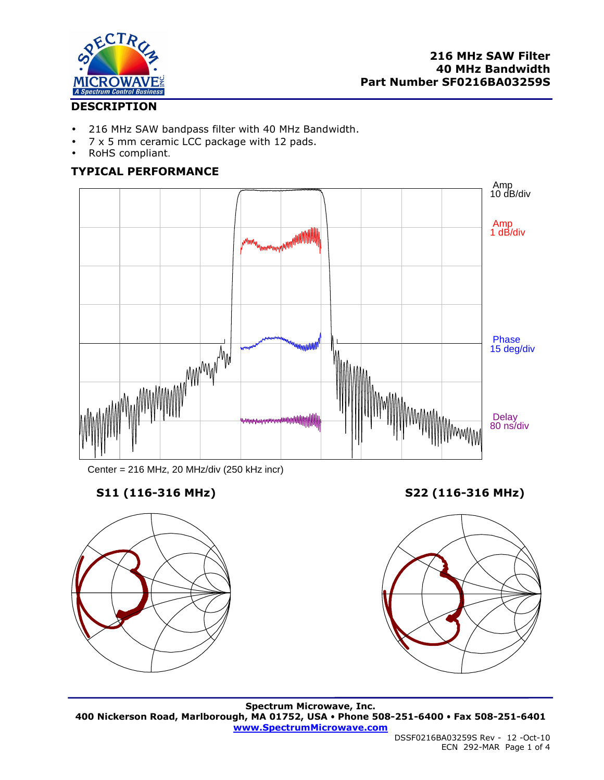

# **DESCRIPTION**

- 216 MHz SAW bandpass filter with 40 MHz Bandwidth.
- 7 x 5 mm ceramic LCC package with 12 pads.
- RoHS compliant.

# **TYPICAL PERFORMANCE**



Center = 216 MHz, 20 MHz/div (250 kHz incr)



**S11 (116-316 MHz) S22 (116-316 MHz)** 



**Spectrum Microwave, Inc. 400 Nickerson Road, Marlborough, MA 01752, USA Phone 508-251-6400 Fax 508-251-6401 www.SpectrumMicrowave.com**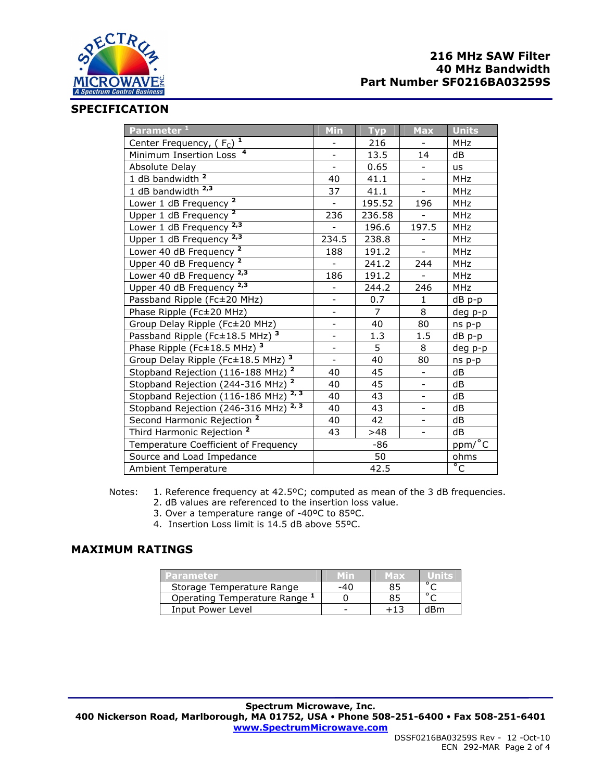

# **216 MHz SAW Filter 40 MHz Bandwidth Part Number SF0216BA03259S**

#### **SPECIFICATION**

| Parameter <sup>1</sup>                                      | Min                      | <b>Typ</b>     | <b>Max</b>               | <b>Units</b>   |
|-------------------------------------------------------------|--------------------------|----------------|--------------------------|----------------|
| Center Frequency, $(F_C)^T$                                 |                          | 216            |                          | MHz            |
| Minimum Insertion Loss <sup>4</sup>                         | $\blacksquare$           | 13.5           | 14                       | dB             |
| Absolute Delay                                              |                          | 0.65           |                          | <b>us</b>      |
| 1 dB bandwidth $2$                                          | 40                       | 41.1           | $\overline{\phantom{0}}$ | <b>MHz</b>     |
| 1 dB bandwidth <sup>2,3</sup>                               | 37                       | 41.1           |                          | <b>MHz</b>     |
| Lower 1 dB Frequency <sup>2</sup>                           | $\blacksquare$           | 195.52         | 196                      | <b>MHz</b>     |
| $\mathbf{2}$<br>Upper 1 dB Frequency                        | 236                      | 236.58         |                          | <b>MHz</b>     |
| 2,3<br>Lower 1 dB Frequency                                 |                          | 196.6          | 197.5                    | MHz            |
| Upper 1 dB Frequency $2,3$                                  | 234.5                    | 238.8          | $\overline{\phantom{0}}$ | MHz            |
| Lower 40 dB Frequency <sup>2</sup>                          | 188                      | 191.2          |                          | <b>MHz</b>     |
| Upper 40 dB Frequency <sup>2</sup>                          | $\overline{\phantom{a}}$ | 241.2          | 244                      | <b>MHz</b>     |
| 2,3<br>Lower 40 dB Frequency                                | 186                      | 191.2          |                          | <b>MHz</b>     |
| Upper 40 dB Frequency <sup>2,3</sup>                        |                          | 244.2          | 246                      | <b>MHz</b>     |
| Passband Ripple (Fc±20 MHz)                                 | $\overline{\phantom{0}}$ | 0.7            | $\mathbf{1}$             | dB p-p         |
| Phase Ripple (Fc±20 MHz)                                    |                          | $\overline{7}$ | 8                        | deg p-p        |
| Group Delay Ripple (Fc±20 MHz)                              | $\overline{\phantom{a}}$ | 40             | 80                       | ns p-p         |
| Passband Ripple (Fc±18.5 MHz) 3                             | $\overline{\phantom{0}}$ | 1.3            | 1.5                      | dB p-p         |
| Phase Ripple ( $Fc \pm 18.5$ MHz) $^3$                      | $\frac{1}{2}$            | 5              | 8                        | deg p-p        |
| 3<br>Group Delay Ripple (Fc±18.5 MHz)                       | $\overline{\phantom{a}}$ | 40             | 80                       | ns p-p         |
| $\overline{2}$<br>Stopband Rejection (116-188 MHz)          | 40                       | 45             |                          | dB             |
| $\overline{\mathbf{2}}$<br>Stopband Rejection (244-316 MHz) | 40                       | 45             | $\overline{\phantom{0}}$ | dB             |
| 2, 3<br>Stopband Rejection (116-186 MHz)                    | 40                       | 43             | $\overline{\phantom{0}}$ | dB             |
| 2, 3<br>Stopband Rejection (246-316 MHz)                    | 40                       | 43             | $\overline{\phantom{a}}$ | dB             |
| Second Harmonic Rejection <sup>2</sup>                      | 40                       | 42             |                          | dB             |
| Third Harmonic Rejection <sup>2</sup>                       | 43                       | >48            | $\overline{\phantom{a}}$ | dB             |
| Temperature Coefficient of Frequency                        | -86                      |                |                          | ppm/°C         |
| Source and Load Impedance                                   | 50                       |                |                          | ohms           |
| Ambient Temperature                                         | 42.5                     |                |                          | $\overline{C}$ |

## Notes: 1. Reference frequency at 42.5ºC; computed as mean of the 3 dB frequencies.

- 2. dB values are referenced to the insertion loss value.
- 3. Over a temperature range of -40ºC to 85ºC.
- 4. Insertion Loss limit is 14.5 dB above 55ºC.

# **MAXIMUM RATINGS**

| Parameter                     | MILL I | MEDS |     |
|-------------------------------|--------|------|-----|
| Storage Temperature Range     | -40    |      |     |
| Operating Temperature Range 1 |        |      |     |
| Input Power Level             | -      |      | dBm |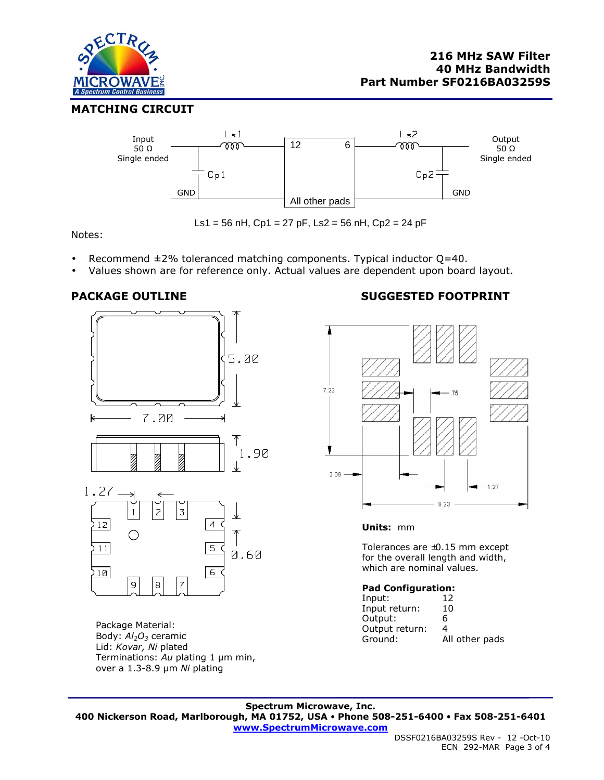

## **MATCHING CIRCUIT**



Ls1 = 56 nH, Cp1 = 27 pF, Ls2 = 56 nH, Cp2 = 24 pF

Notes:

- Recommend  $\pm$ 2% toleranced matching components. Typical inductor Q=40.
- Values shown are for reference only. Actual values are dependent upon board layout.





Package Material: Body: *Al2O3* ceramic Lid: *Kovar, Ni* plated Terminations: *Au* plating 1 µm min, over a 1.3-8.9 µm *Ni* plating

 $\overline{7}$ 

 $\overline{\mathbf{e}}$ 

 $\overline{9}$ 

# **PACKAGE OUTLINE SUGGESTED FOOTPRINT**



#### **Units:** mm

Tolerances are ±0.15 mm except for the overall length and width, which are nominal values.

#### **Pad Configuration:**

| Input:         | 12             |
|----------------|----------------|
| Input return:  | 10             |
| Output:        | 6              |
| Output return: | 4              |
| Ground:        | All other pads |

**Spectrum Microwave, Inc. 400 Nickerson Road, Marlborough, MA 01752, USA Phone 508-251-6400 Fax 508-251-6401 www.SpectrumMicrowave.com**